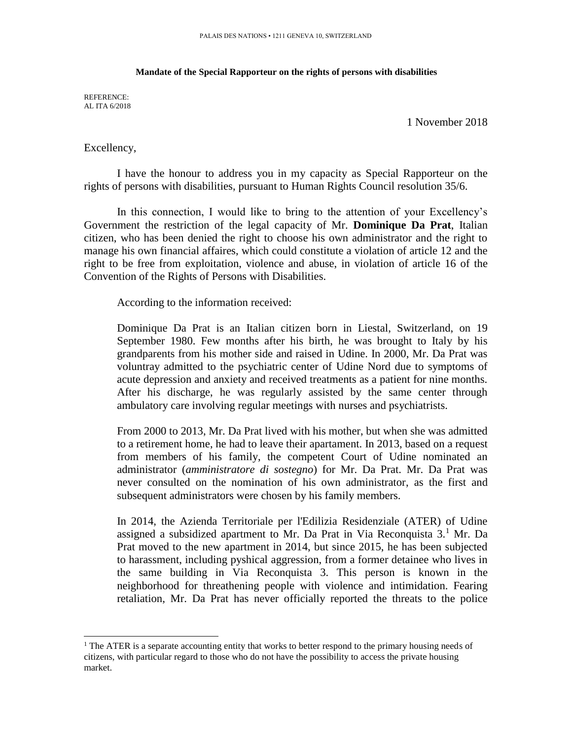## **Mandate of the Special Rapporteur on the rights of persons with disabilities**

REFERENCE: AL ITA 6/2018

1 November 2018

Excellency,

l

I have the honour to address you in my capacity as Special Rapporteur on the rights of persons with disabilities, pursuant to Human Rights Council resolution 35/6.

In this connection, I would like to bring to the attention of your Excellency's Government the restriction of the legal capacity of Mr. **Dominique Da Prat**, Italian citizen, who has been denied the right to choose his own administrator and the right to manage his own financial affaires, which could constitute a violation of article 12 and the right to be free from exploitation, violence and abuse, in violation of article 16 of the Convention of the Rights of Persons with Disabilities.

According to the information received:

Dominique Da Prat is an Italian citizen born in Liestal, Switzerland, on 19 September 1980. Few months after his birth, he was brought to Italy by his grandparents from his mother side and raised in Udine. In 2000, Mr. Da Prat was voluntray admitted to the psychiatric center of Udine Nord due to symptoms of acute depression and anxiety and received treatments as a patient for nine months. After his discharge, he was regularly assisted by the same center through ambulatory care involving regular meetings with nurses and psychiatrists.

From 2000 to 2013, Mr. Da Prat lived with his mother, but when she was admitted to a retirement home, he had to leave their apartament. In 2013, based on a request from members of his family, the competent Court of Udine nominated an administrator (*amministratore di sostegno*) for Mr. Da Prat. Mr. Da Prat was never consulted on the nomination of his own administrator, as the first and subsequent administrators were chosen by his family members.

In 2014, the Azienda Territoriale per l'Edilizia Residenziale (ATER) of Udine assigned a subsidized apartment to Mr. Da Prat in Via Reconquista  $3<sup>1</sup>$  Mr. Da Prat moved to the new apartment in 2014, but since 2015, he has been subjected to harassment, including pyshical aggression, from a former detainee who lives in the same building in Via Reconquista 3. This person is known in the neighborhood for threathening people with violence and intimidation. Fearing retaliation, Mr. Da Prat has never officially reported the threats to the police

 $<sup>1</sup>$  The ATER is a separate accounting entity that works to better respond to the primary housing needs of</sup> citizens, with particular regard to those who do not have the possibility to access the private housing market.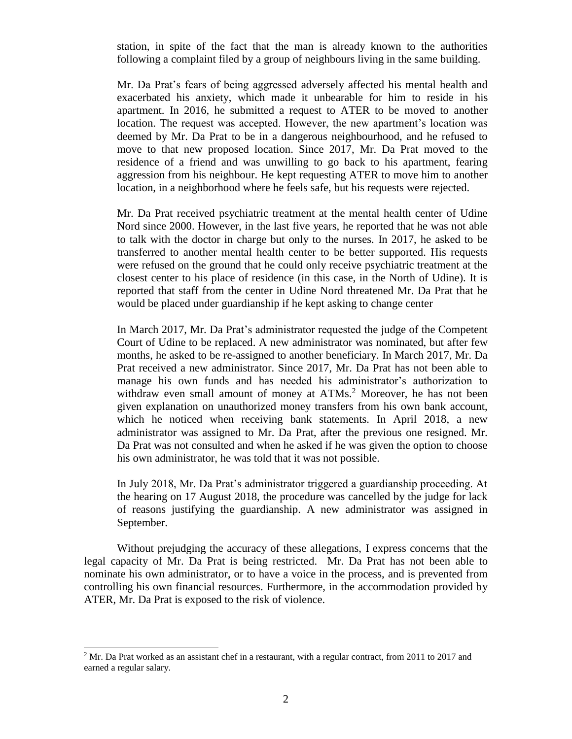station, in spite of the fact that the man is already known to the authorities following a complaint filed by a group of neighbours living in the same building.

Mr. Da Prat's fears of being aggressed adversely affected his mental health and exacerbated his anxiety, which made it unbearable for him to reside in his apartment. In 2016, he submitted a request to ATER to be moved to another location. The request was accepted. However, the new apartment's location was deemed by Mr. Da Prat to be in a dangerous neighbourhood, and he refused to move to that new proposed location. Since 2017, Mr. Da Prat moved to the residence of a friend and was unwilling to go back to his apartment, fearing aggression from his neighbour. He kept requesting ATER to move him to another location, in a neighborhood where he feels safe, but his requests were rejected.

Mr. Da Prat received psychiatric treatment at the mental health center of Udine Nord since 2000. However, in the last five years, he reported that he was not able to talk with the doctor in charge but only to the nurses. In 2017, he asked to be transferred to another mental health center to be better supported. His requests were refused on the ground that he could only receive psychiatric treatment at the closest center to his place of residence (in this case, in the North of Udine). It is reported that staff from the center in Udine Nord threatened Mr. Da Prat that he would be placed under guardianship if he kept asking to change center

In March 2017, Mr. Da Prat's administrator requested the judge of the Competent Court of Udine to be replaced. A new administrator was nominated, but after few months, he asked to be re-assigned to another beneficiary. In March 2017, Mr. Da Prat received a new administrator. Since 2017, Mr. Da Prat has not been able to manage his own funds and has needed his administrator's authorization to withdraw even small amount of money at ATMs.<sup>2</sup> Moreover, he has not been given explanation on unauthorized money transfers from his own bank account, which he noticed when receiving bank statements. In April 2018, a new administrator was assigned to Mr. Da Prat, after the previous one resigned. Mr. Da Prat was not consulted and when he asked if he was given the option to choose his own administrator, he was told that it was not possible.

In July 2018, Mr. Da Prat's administrator triggered a guardianship proceeding. At the hearing on 17 August 2018, the procedure was cancelled by the judge for lack of reasons justifying the guardianship. A new administrator was assigned in September.

Without prejudging the accuracy of these allegations, I express concerns that the legal capacity of Mr. Da Prat is being restricted. Mr. Da Prat has not been able to nominate his own administrator, or to have a voice in the process, and is prevented from controlling his own financial resources. Furthermore, in the accommodation provided by ATER, Mr. Da Prat is exposed to the risk of violence.

l

 $2^{\circ}$  Mr. Da Prat worked as an assistant chef in a restaurant, with a regular contract, from 2011 to 2017 and earned a regular salary.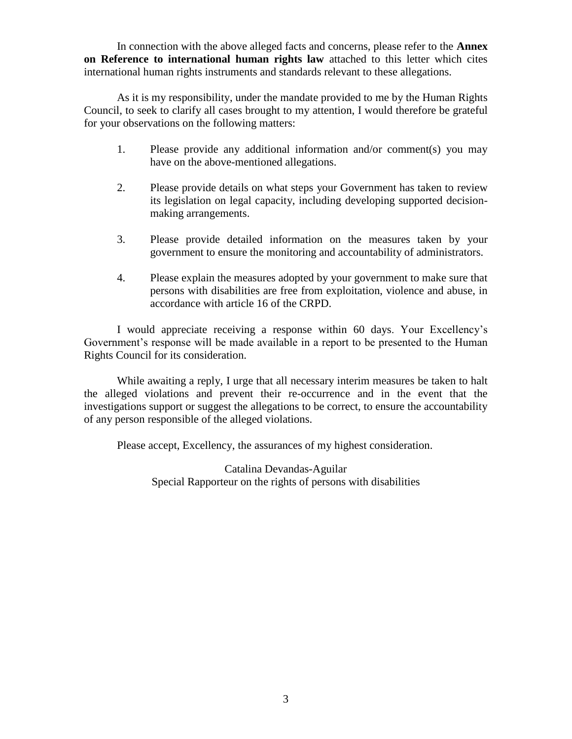In connection with the above alleged facts and concerns, please refer to the **Annex on Reference to international human rights law** attached to this letter which cites international human rights instruments and standards relevant to these allegations.

As it is my responsibility, under the mandate provided to me by the Human Rights Council, to seek to clarify all cases brought to my attention, I would therefore be grateful for your observations on the following matters:

- 1. Please provide any additional information and/or comment(s) you may have on the above-mentioned allegations.
- 2. Please provide details on what steps your Government has taken to review its legislation on legal capacity, including developing supported decisionmaking arrangements.
- 3. Please provide detailed information on the measures taken by your government to ensure the monitoring and accountability of administrators.
- 4. Please explain the measures adopted by your government to make sure that persons with disabilities are free from exploitation, violence and abuse, in accordance with article 16 of the CRPD.

I would appreciate receiving a response within 60 days. Your Excellency's Government's response will be made available in a report to be presented to the Human Rights Council for its consideration.

While awaiting a reply, I urge that all necessary interim measures be taken to halt the alleged violations and prevent their re-occurrence and in the event that the investigations support or suggest the allegations to be correct, to ensure the accountability of any person responsible of the alleged violations.

Please accept, Excellency, the assurances of my highest consideration.

Catalina Devandas-Aguilar Special Rapporteur on the rights of persons with disabilities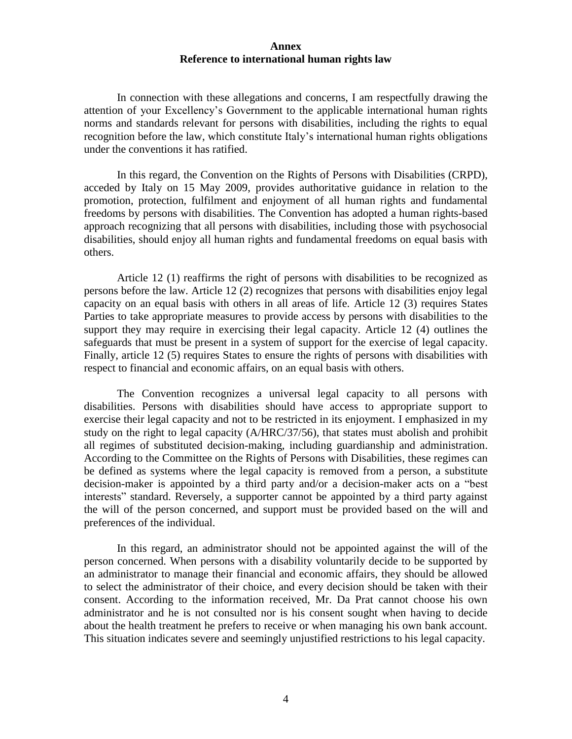## **Annex Reference to international human rights law**

In connection with these allegations and concerns, I am respectfully drawing the attention of your Excellency's Government to the applicable international human rights norms and standards relevant for persons with disabilities, including the rights to equal recognition before the law, which constitute Italy's international human rights obligations under the conventions it has ratified.

In this regard, the Convention on the Rights of Persons with Disabilities (CRPD), acceded by Italy on 15 May 2009, provides authoritative guidance in relation to the promotion, protection, fulfilment and enjoyment of all human rights and fundamental freedoms by persons with disabilities. The Convention has adopted a human rights-based approach recognizing that all persons with disabilities, including those with psychosocial disabilities, should enjoy all human rights and fundamental freedoms on equal basis with others.

Article 12 (1) reaffirms the right of persons with disabilities to be recognized as persons before the law. Article 12 (2) recognizes that persons with disabilities enjoy legal capacity on an equal basis with others in all areas of life. Article 12 (3) requires States Parties to take appropriate measures to provide access by persons with disabilities to the support they may require in exercising their legal capacity. Article 12 (4) outlines the safeguards that must be present in a system of support for the exercise of legal capacity. Finally, article 12 (5) requires States to ensure the rights of persons with disabilities with respect to financial and economic affairs, on an equal basis with others.

The Convention recognizes a universal legal capacity to all persons with disabilities. Persons with disabilities should have access to appropriate support to exercise their legal capacity and not to be restricted in its enjoyment. I emphasized in my study on the right to legal capacity (A/HRC/37/56), that states must abolish and prohibit all regimes of substituted decision-making, including guardianship and administration. According to the Committee on the Rights of Persons with Disabilities, these regimes can be defined as systems where the legal capacity is removed from a person, a substitute decision-maker is appointed by a third party and/or a decision-maker acts on a "best interests" standard. Reversely, a supporter cannot be appointed by a third party against the will of the person concerned, and support must be provided based on the will and preferences of the individual.

In this regard, an administrator should not be appointed against the will of the person concerned. When persons with a disability voluntarily decide to be supported by an administrator to manage their financial and economic affairs, they should be allowed to select the administrator of their choice, and every decision should be taken with their consent. According to the information received, Mr. Da Prat cannot choose his own administrator and he is not consulted nor is his consent sought when having to decide about the health treatment he prefers to receive or when managing his own bank account. This situation indicates severe and seemingly unjustified restrictions to his legal capacity.